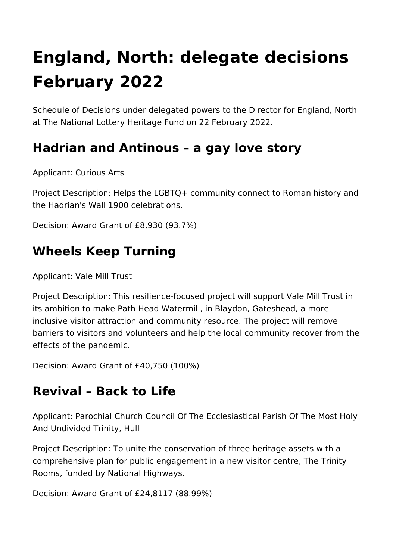# **England, North: delegate decisions February 2022**

Schedule of Decisions under delegated powers to the Director for England, North at The National Lottery Heritage Fund on 22 February 2022.

#### **Hadrian and Antinous – a gay love story**

Applicant: Curious Arts

Project Description: Helps the LGBTQ+ community connect to Roman history and the Hadrian's Wall 1900 celebrations.

Decision: Award Grant of £8,930 (93.7%)

#### **Wheels Keep Turning**

Applicant: Vale Mill Trust

Project Description: This resilience-focused project will support Vale Mill Trust in its ambition to make Path Head Watermill, in Blaydon, Gateshead, a more inclusive visitor attraction and community resource. The project will remove barriers to visitors and volunteers and help the local community recover from the effects of the pandemic.

Decision: Award Grant of £40,750 (100%)

#### **Revival – Back to Life**

Applicant: Parochial Church Council Of The Ecclesiastical Parish Of The Most Holy And Undivided Trinity, Hull

Project Description: To unite the conservation of three heritage assets with a comprehensive plan for public engagement in a new visitor centre, The Trinity Rooms, funded by National Highways.

Decision: Award Grant of £24,8117 (88.99%)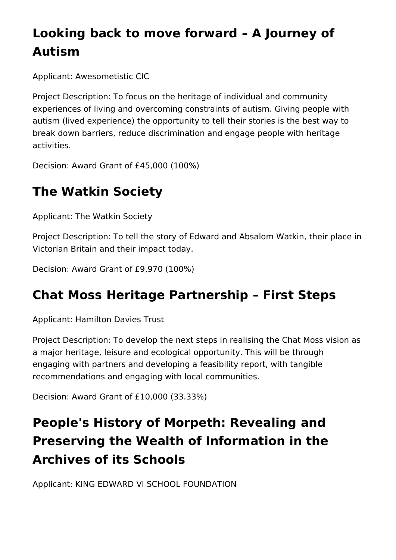# **Looking back to move forward – A Journey of Autism**

Applicant: Awesometistic CIC

Project Description: To focus on the heritage of individual and community experiences of living and overcoming constraints of autism. Giving people with autism (lived experience) the opportunity to tell their stories is the best way to break down barriers, reduce discrimination and engage people with heritage activities.

Decision: Award Grant of £45,000 (100%)

## **The Watkin Society**

Applicant: The Watkin Society

Project Description: To tell the story of Edward and Absalom Watkin, their place in Victorian Britain and their impact today.

Decision: Award Grant of £9,970 (100%)

#### **Chat Moss Heritage Partnership – First Steps**

Applicant: Hamilton Davies Trust

Project Description: To develop the next steps in realising the Chat Moss vision as a major heritage, leisure and ecological opportunity. This will be through engaging with partners and developing a feasibility report, with tangible recommendations and engaging with local communities.

Decision: Award Grant of £10,000 (33.33%)

# **People's History of Morpeth: Revealing and Preserving the Wealth of Information in the Archives of its Schools**

Applicant: KING EDWARD VI SCHOOL FOUNDATION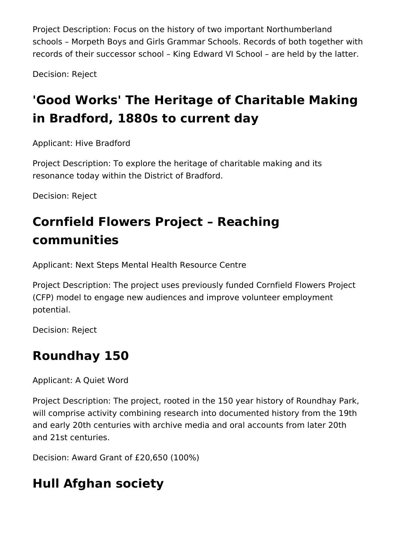Project Description: Focus on the history of two important Northumberland schools – Morpeth Boys and Girls Grammar Schools. Records of both together with records of their successor school – King Edward VI School – are held by the latter.

Decision: Reject

# **'Good Works' The Heritage of Charitable Making in Bradford, 1880s to current day**

Applicant: Hive Bradford

Project Description: To explore the heritage of charitable making and its resonance today within the District of Bradford.

Decision: Reject

# **Cornfield Flowers Project – Reaching communities**

Applicant: Next Steps Mental Health Resource Centre

Project Description: The project uses previously funded Cornfield Flowers Project (CFP) model to engage new audiences and improve volunteer employment potential.

Decision: Reject

## **Roundhay 150**

Applicant: A Quiet Word

Project Description: The project, rooted in the 150 year history of Roundhay Park, will comprise activity combining research into documented history from the 19th and early 20th centuries with archive media and oral accounts from later 20th and 21st centuries.

Decision: Award Grant of £20,650 (100%)

## **Hull Afghan society**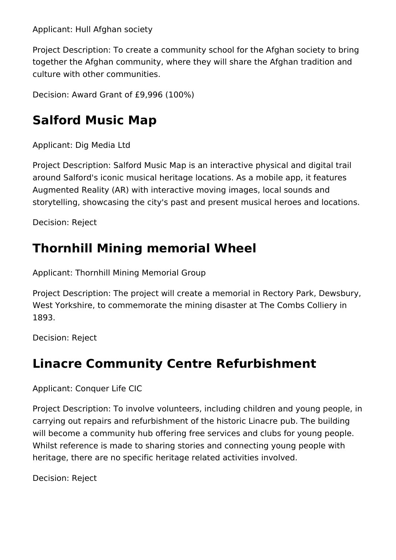Applicant: Hull Afghan society

Project Description: To create a community school for the Afghan society to bring together the Afghan community, where they will share the Afghan tradition and culture with other communities.

Decision: Award Grant of £9,996 (100%)

## **Salford Music Map**

Applicant: Dig Media Ltd

Project Description: Salford Music Map is an interactive physical and digital trail around Salford's iconic musical heritage locations. As a mobile app, it features Augmented Reality (AR) with interactive moving images, local sounds and storytelling, showcasing the city's past and present musical heroes and locations.

Decision: Reject

#### **Thornhill Mining memorial Wheel**

Applicant: Thornhill Mining Memorial Group

Project Description: The project will create a memorial in Rectory Park, Dewsbury, West Yorkshire, to commemorate the mining disaster at The Combs Colliery in 1893.

Decision: Reject

## **Linacre Community Centre Refurbishment**

Applicant: Conquer Life CIC

Project Description: To involve volunteers, including children and young people, in carrying out repairs and refurbishment of the historic Linacre pub. The building will become a community hub offering free services and clubs for young people. Whilst reference is made to sharing stories and connecting young people with heritage, there are no specific heritage related activities involved.

Decision: Reject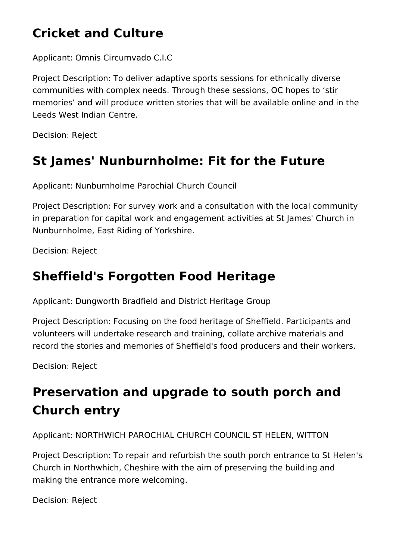## **Cricket and Culture**

Applicant: Omnis Circumvado C.I.C

Project Description: To deliver adaptive sports sessions for ethnically diverse communities with complex needs. Through these sessions, OC hopes to 'stir memories' and will produce written stories that will be available online and in the Leeds West Indian Centre.

Decision: Reject

## **St James' Nunburnholme: Fit for the Future**

Applicant: Nunburnholme Parochial Church Council

Project Description: For survey work and a consultation with the local community in preparation for capital work and engagement activities at St James' Church in Nunburnholme, East Riding of Yorkshire.

Decision: Reject

#### **Sheffield's Forgotten Food Heritage**

Applicant: Dungworth Bradfield and District Heritage Group

Project Description: Focusing on the food heritage of Sheffield. Participants and volunteers will undertake research and training, collate archive materials and record the stories and memories of Sheffield's food producers and their workers.

Decision: Reject

# **Preservation and upgrade to south porch and Church entry**

Applicant: NORTHWICH PAROCHIAL CHURCH COUNCIL ST HELEN, WITTON

Project Description: To repair and refurbish the south porch entrance to St Helen's Church in Northwhich, Cheshire with the aim of preserving the building and making the entrance more welcoming.

Decision: Reject